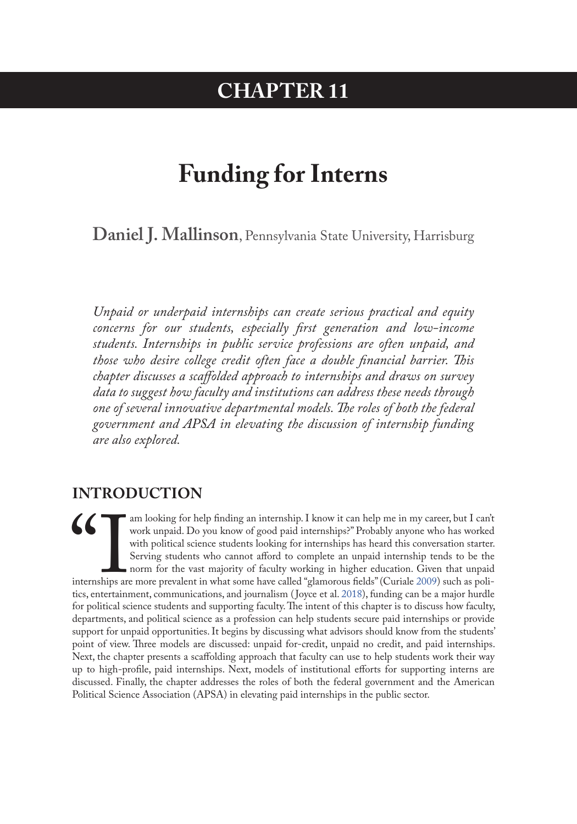# **CHAPTER 11**

# **Funding for Interns**

**Daniel J. Mallinson**, Pennsylvania State University, Harrisburg

*Unpaid or underpaid internships can create serious practical and equity concerns for our students, especially first generation and low-income students. Internships in public service professions are often unpaid, and those who desire college credit often face a double financial barrier. This chapter discusses a scaffolded approach to internships and draws on survey data to suggest how faculty and institutions can address these needs through one of several innovative departmental models. The roles of both the federal government and APSA in elevating the discussion of internship funding are also explored.* 

### **INTRODUCTION**

Tam looking for help finding an internship. I know it can help me in my career, but I can't work unpaid. Do you know of good paid internships?" Probably anyone who has worked with political science students looking for int work unpaid. Do you know of good paid internships?" Probably anyone who has worked with political science students looking for internships has heard this conversation starter. Serving students who cannot afford to complete an unpaid internship tends to be the norm for the vast majority of faculty working in higher education. Given that unpaid internships are more prevalent in what some have called "glamorous fields" (Curiale 2009) such as politics, entertainment, communications, and journalism ( Joyce et al. 2018), funding can be a major hurdle for political science students and supporting faculty. The intent of this chapter is to discuss how faculty, departments, and political science as a profession can help students secure paid internships or provide support for unpaid opportunities. It begins by discussing what advisors should know from the students' point of view. Three models are discussed: unpaid for-credit, unpaid no credit, and paid internships. Next, the chapter presents a scaffolding approach that faculty can use to help students work their way up to high-profile, paid internships. Next, models of institutional efforts for supporting interns are discussed. Finally, the chapter addresses the roles of both the federal government and the American Political Science Association (APSA) in elevating paid internships in the public sector.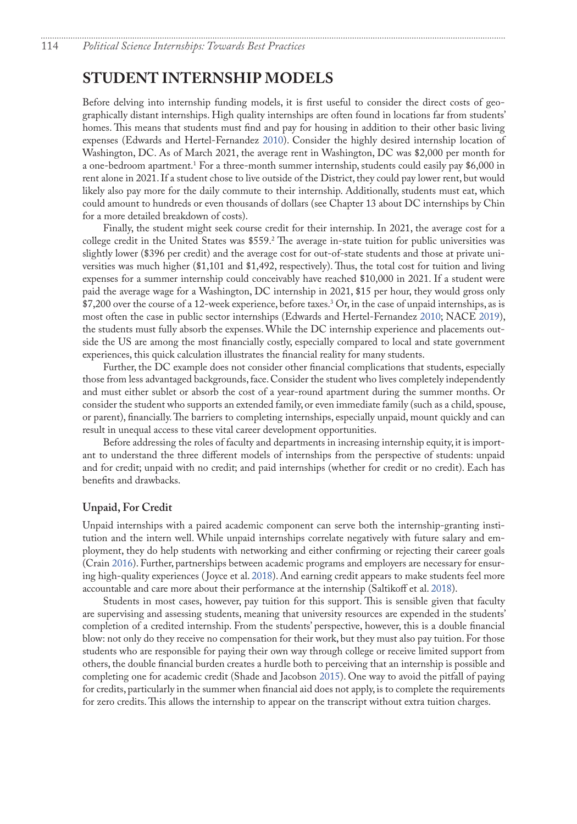### <span id="page-1-0"></span>**STUDENT INTERNSHIP MODELS**

Before delving into internship funding models, it is first useful to consider the direct costs of geographically distant internships. High quality internships are often found in locations far from students' homes. This means that students must find and pay for housing in addition to their other basic living expenses (Edwards and Hertel-Fernandez [2010](#page-8-1)). Consider the highly desired internship location of Washington, DC. As of March 2021, the average rent in Washington, DC was \$2,000 per month for a one-bedroom apartment.<sup>[1](#page-9-0)</sup> For a three-month summer internship, students could easily pay \$6,000 in rent alone in 2021. If a student chose to live outside of the District, they could pay lower rent, but would likely also pay more for the daily commute to their internship. Additionally, students must eat, which could amount to hundreds or even thousands of dollars (see Chapter 13 about DC internships by Chin for a more detailed breakdown of costs).

Finally, the student might seek course credit for their internship. In 2021, the average cost for a college credit in the United States was \$559[.2](#page-9-0) The average in-state tuition for public universities was slightly lower (\$396 per credit) and the average cost for out-of-state students and those at private universities was much higher (\$1,101 and \$1,492, respectively). Thus, the total cost for tuition and living expenses for a summer internship could conceivably have reached \$10,000 in 2021. If a student were paid the average wage for a Washington, DC internship in 2021, \$15 per hour, they would gross only \$7,200 over the course of a 12-week experience, before taxes.[3](#page-9-0) Or, in the case of unpaid internships, as is most often the case in public sector internships (Edwards and Hertel-Fernandez [2010;](#page-8-1) NACE [2019](#page-9-1)), the students must fully absorb the expenses. While the DC internship experience and placements outside the US are among the most financially costly, especially compared to local and state government experiences, this quick calculation illustrates the financial reality for many students.

Further, the DC example does not consider other financial complications that students, especially those from less advantaged backgrounds, face. Consider the student who lives completely independently and must either sublet or absorb the cost of a year-round apartment during the summer months. Or consider the student who supports an extended family, or even immediate family (such as a child, spouse, or parent), financially. The barriers to completing internships, especially unpaid, mount quickly and can result in unequal access to these vital career development opportunities.

Before addressing the roles of faculty and departments in increasing internship equity, it is important to understand the three different models of internships from the perspective of students: unpaid and for credit; unpaid with no credit; and paid internships (whether for credit or no credit). Each has benefits and drawbacks.

#### **Unpaid, For Credit**

Unpaid internships with a paired academic component can serve both the internship-granting institution and the intern well. While unpaid internships correlate negatively with future salary and employment, they do help students with networking and either confirming or rejecting their career goals (Crain 2016). Further, partnerships between academic programs and employers are necessary for ensuring high-quality experiences ( Joyce et al. [2018\)](#page-8-0). And earning credit appears to make students feel more accountable and care more about their performance at the internship (Saltikoff et al. 2018).

Students in most cases, however, pay tuition for this support. This is sensible given that faculty are supervising and assessing students, meaning that university resources are expended in the students' completion of a credited internship. From the students' perspective, however, this is a double financial blow: not only do they receive no compensation for their work, but they must also pay tuition. For those students who are responsible for paying their own way through college or receive limited support from others, the double financial burden creates a hurdle both to perceiving that an internship is possible and completing one for academic credit (Shade and Jacobson 2015). One way to avoid the pitfall of paying for credits, particularly in the summer when financial aid does not apply, is to complete the requirements for zero credits. This allows the internship to appear on the transcript without extra tuition charges.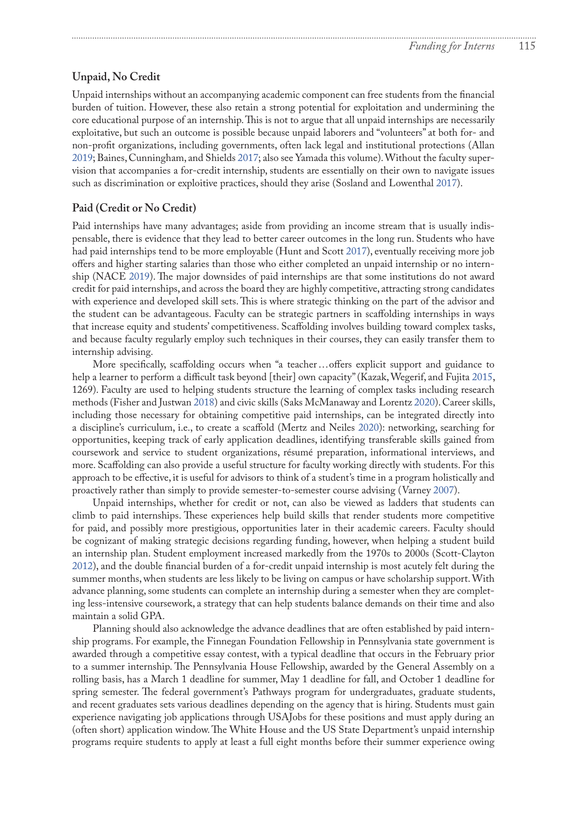#### **Unpaid, No Credit**

Unpaid internships without an accompanying academic component can free students from the financial burden of tuition. However, these also retain a strong potential for exploitation and undermining the core educational purpose of an internship. This is not to argue that all unpaid internships are necessarily exploitative, but such an outcome is possible because unpaid laborers and "volunteers" at both for- and non-profit organizations, including governments, often lack legal and institutional protections (Allan 2019; Baines, Cunningham, and Shields 2017; also see Yamada this volume). Without the faculty supervision that accompanies a for-credit internship, students are essentially on their own to navigate issues such as discrimination or exploitive practices, should they arise (Sosland and Lowenthal 2017).

#### **Paid (Credit or No Credit)**

Paid internships have many advantages; aside from providing an income stream that is usually indispensable, there is evidence that they lead to better career outcomes in the long run. Students who have had paid internships tend to be more employable (Hunt and Scott 2017), eventually receiving more job offers and higher starting salaries than those who either completed an unpaid internship or no internship (NACE [2019\)](#page-9-1). The major downsides of paid internships are that some institutions do not award credit for paid internships, and across the board they are highly competitive, attracting strong candidates with experience and developed skill sets. This is where strategic thinking on the part of the advisor and the student can be advantageous. Faculty can be strategic partners in scaffolding internships in ways that increase equity and students' competitiveness. Scaffolding involves building toward complex tasks, and because faculty regularly employ such techniques in their courses, they can easily transfer them to internship advising.

More specifically, scaffolding occurs when "a teacher…offers explicit support and guidance to help a learner to perform a difficult task beyond [their] own capacity" (Kazak, Wegerif, and Fujita 2015, 1269). Faculty are used to helping students structure the learning of complex tasks including research methods (Fisher and Justwan 2018) and civic skills (Saks McManaway and Lorentz 2020). Career skills, including those necessary for obtaining competitive paid internships, can be integrated directly into a discipline's curriculum, i.e., to create a scaffold (Mertz and Neiles 2020): networking, searching for opportunities, keeping track of early application deadlines, identifying transferable skills gained from coursework and service to student organizations, résumé preparation, informational interviews, and more. Scaffolding can also provide a useful structure for faculty working directly with students. For this approach to be effective, it is useful for advisors to think of a student's time in a program holistically and proactively rather than simply to provide semester-to-semester course advising (Varney 2007).

Unpaid internships, whether for credit or not, can also be viewed as ladders that students can climb to paid internships. These experiences help build skills that render students more competitive for paid, and possibly more prestigious, opportunities later in their academic careers. Faculty should be cognizant of making strategic decisions regarding funding, however, when helping a student build an internship plan. Student employment increased markedly from the 1970s to 2000s (Scott-Clayton 2012), and the double financial burden of a for-credit unpaid internship is most acutely felt during the summer months, when students are less likely to be living on campus or have scholarship support. With advance planning, some students can complete an internship during a semester when they are completing less-intensive coursework, a strategy that can help students balance demands on their time and also maintain a solid GPA.

Planning should also acknowledge the advance deadlines that are often established by paid internship programs. For example, the Finnegan Foundation Fellowship in Pennsylvania state government is awarded through a competitive essay contest, with a typical deadline that occurs in the February prior to a summer internship. The Pennsylvania House Fellowship, awarded by the General Assembly on a rolling basis, has a March 1 deadline for summer, May 1 deadline for fall, and October 1 deadline for spring semester. The federal government's Pathways program for undergraduates, graduate students, and recent graduates sets various deadlines depending on the agency that is hiring. Students must gain experience navigating job applications through USAJobs for these positions and must apply during an (often short) application window. The White House and the US State Department's unpaid internship programs require students to apply at least a full eight months before their summer experience owing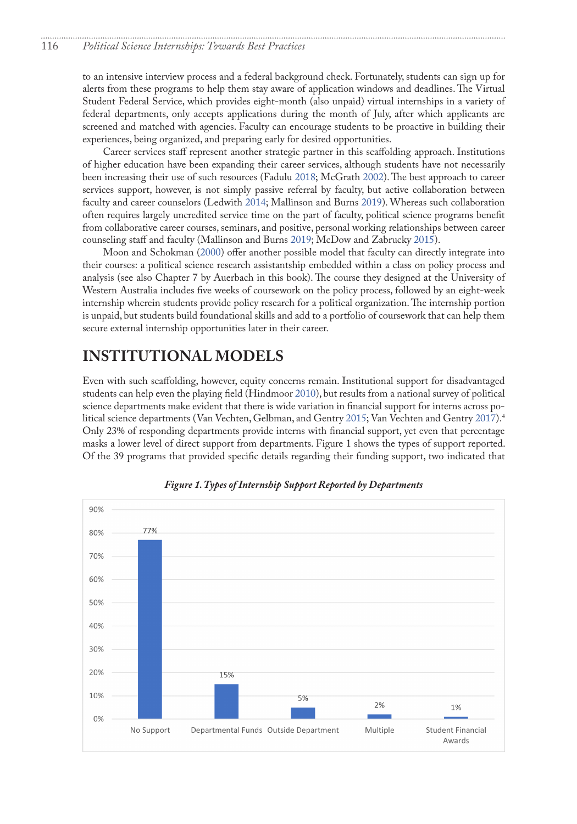<span id="page-3-0"></span>to an intensive interview process and a federal background check. Fortunately, students can sign up for alerts from these programs to help them stay aware of application windows and deadlines. The Virtual Student Federal Service, which provides eight-month (also unpaid) virtual internships in a variety of federal departments, only accepts applications during the month of July, after which applicants are screened and matched with agencies. Faculty can encourage students to be proactive in building their experiences, being organized, and preparing early for desired opportunities.

Career services staff represent another strategic partner in this scaffolding approach. Institutions of higher education have been expanding their career services, although students have not necessarily been increasing their use of such resources (Fadulu 2018; McGrath 2002). The best approach to career services support, however, is not simply passive referral by faculty, but active collaboration between faculty and career counselors (Ledwith 2014; Mallinson and Burns 2019). Whereas such collaboration often requires largely uncredited service time on the part of faculty, political science programs benefit from collaborative career courses, seminars, and positive, personal working relationships between career counseling staff and faculty (Mallinson and Burns 2019; McDow and Zabrucky 2015).

Moon and Schokman (2000) offer another possible model that faculty can directly integrate into their courses: a political science research assistantship embedded within a class on policy process and analysis (see also Chapter 7 by Auerbach in this book). The course they designed at the University of Western Australia includes five weeks of coursework on the policy process, followed by an eight-week internship wherein students provide policy research for a political organization. The internship portion is unpaid, but students build foundational skills and add to a portfolio of coursework that can help them secure external internship opportunities later in their career.

## **INSTITUTIONAL MODELS**

Even with such scaffolding, however, equity concerns remain. Institutional support for disadvantaged students can help even the playing field (Hindmoor 2010), but results from a national survey of political science departments make evident that there is wide variation in financial support for interns across political science departments (Van Vechten, Gelbman, and Gentry 2015; Van Vechten and Gentry 2017).<sup>4</sup> Only 23% of responding departments provide interns with financial support, yet even that percentage masks a lower level of direct support from departments. Figure 1 shows the types of support reported. Of the 39 programs that provided specific details regarding their funding support, two indicated that



*Figure 1. Types of Internship Support Reported by Departments*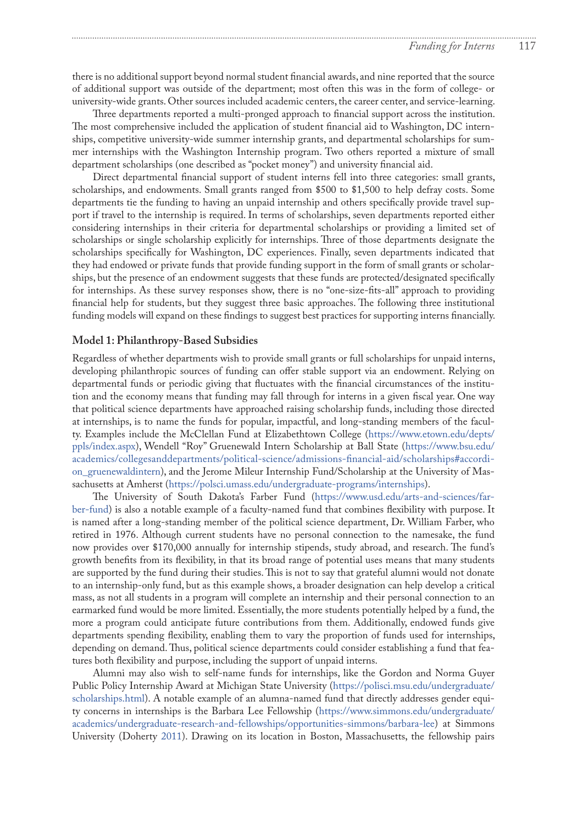there is no additional support beyond normal student financial awards, and nine reported that the source of additional support was outside of the department; most often this was in the form of college- or university-wide grants. Other sources included academic centers, the career center, and service-learning.

Three departments reported a multi-pronged approach to financial support across the institution. The most comprehensive included the application of student financial aid to Washington, DC internships, competitive university-wide summer internship grants, and departmental scholarships for summer internships with the Washington Internship program. Two others reported a mixture of small department scholarships (one described as "pocket money") and university financial aid.

Direct departmental financial support of student interns fell into three categories: small grants, scholarships, and endowments. Small grants ranged from \$500 to \$1,500 to help defray costs. Some departments tie the funding to having an unpaid internship and others specifically provide travel support if travel to the internship is required. In terms of scholarships, seven departments reported either considering internships in their criteria for departmental scholarships or providing a limited set of scholarships or single scholarship explicitly for internships. Three of those departments designate the scholarships specifically for Washington, DC experiences. Finally, seven departments indicated that they had endowed or private funds that provide funding support in the form of small grants or scholarships, but the presence of an endowment suggests that these funds are protected/designated specifically for internships. As these survey responses show, there is no "one-size-fits-all" approach to providing financial help for students, but they suggest three basic approaches. The following three institutional funding models will expand on these findings to suggest best practices for supporting interns financially.

#### **Model 1: Philanthropy-Based Subsidies**

Regardless of whether departments wish to provide small grants or full scholarships for unpaid interns, developing philanthropic sources of funding can offer stable support via an endowment. Relying on departmental funds or periodic giving that fluctuates with the financial circumstances of the institution and the economy means that funding may fall through for interns in a given fiscal year. One way that political science departments have approached raising scholarship funds, including those directed at internships, is to name the funds for popular, impactful, and long-standing members of the faculty. Examples include the McClellan Fund at Elizabethtown College ([https://www.etown.edu/depts/](https://www.etown.edu/depts/ppls/index.aspx) [ppls/index.aspx](https://www.etown.edu/depts/ppls/index.aspx)), Wendell "Roy" Gruenewald Intern Scholarship at Ball State ([https://www.bsu.edu/](https://www.bsu.edu/academics/collegesanddepartments/political-science/admissions-financial-aid/scholarships#accordion_gruenewaldintern) [academics/collegesanddepartments/political-science/admissions-financial-aid/scholarships#accordi](https://www.bsu.edu/academics/collegesanddepartments/political-science/admissions-financial-aid/scholarships#accordion_gruenewaldintern)[on\\_gruenewaldintern](https://www.bsu.edu/academics/collegesanddepartments/political-science/admissions-financial-aid/scholarships#accordion_gruenewaldintern)), and the Jerome Mileur Internship Fund/Scholarship at the University of Massachusetts at Amherst [\(https://polsci.umass.edu/undergraduate-programs/internships\)](https://polsci.umass.edu/undergraduate-programs/internships).

The University of South Dakota's Farber Fund [\(https://www.usd.edu/arts-and-sciences/far](https://www.usd.edu/arts-and-sciences/farber-fund)[ber-fund\)](https://www.usd.edu/arts-and-sciences/farber-fund) is also a notable example of a faculty-named fund that combines flexibility with purpose. It is named after a long-standing member of the political science department, Dr. William Farber, who retired in 1976. Although current students have no personal connection to the namesake, the fund now provides over \$170,000 annually for internship stipends, study abroad, and research. The fund's growth benefits from its flexibility, in that its broad range of potential uses means that many students are supported by the fund during their studies. This is not to say that grateful alumni would not donate to an internship-only fund, but as this example shows, a broader designation can help develop a critical mass, as not all students in a program will complete an internship and their personal connection to an earmarked fund would be more limited. Essentially, the more students potentially helped by a fund, the more a program could anticipate future contributions from them. Additionally, endowed funds give departments spending flexibility, enabling them to vary the proportion of funds used for internships, depending on demand. Thus, political science departments could consider establishing a fund that features both flexibility and purpose, including the support of unpaid interns.

Alumni may also wish to self-name funds for internships, like the Gordon and Norma Guyer Public Policy Internship Award at Michigan State University ([https://polisci.msu.edu/undergraduate/](https://polisci.msu.edu/undergraduate/scholarships.html) [scholarships.html](https://polisci.msu.edu/undergraduate/scholarships.html)). A notable example of an alumna-named fund that directly addresses gender equity concerns in internships is the Barbara Lee Fellowship ([https://www.simmons.edu/undergraduate/](https://www.simmons.edu/undergraduate/academics/undergraduate-research-and-fellowships/opportunities-simmons/barbara-lee) [academics/undergraduate-research-and-fellowships/opportunities-simmons/barbara-lee\)](https://www.simmons.edu/undergraduate/academics/undergraduate-research-and-fellowships/opportunities-simmons/barbara-lee) at Simmons University (Doherty 2011). Drawing on its location in Boston, Massachusetts, the fellowship pairs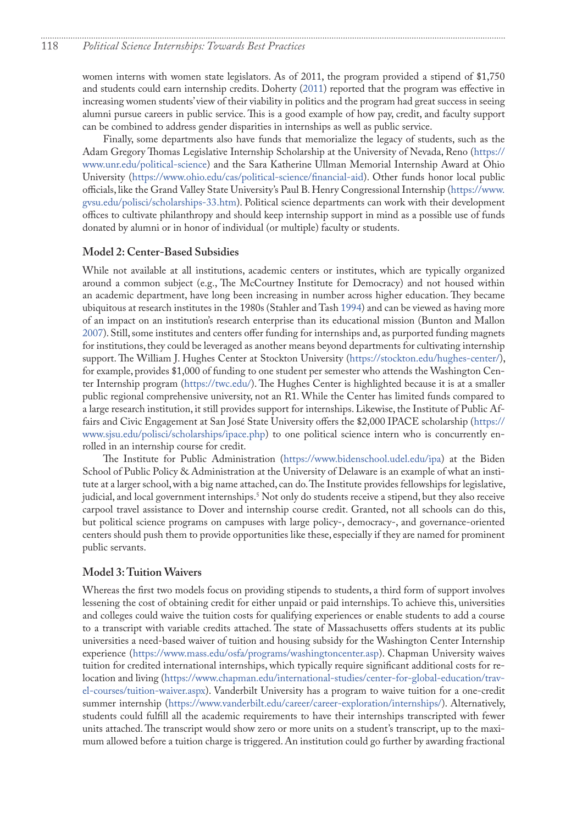<span id="page-5-0"></span>women interns with women state legislators. As of 2011, the program provided a stipend of \$1,750 and students could earn internship credits. Doherty (2011) reported that the program was effective in increasing women students' view of their viability in politics and the program had great success in seeing alumni pursue careers in public service. This is a good example of how pay, credit, and faculty support can be combined to address gender disparities in internships as well as public service.

Finally, some departments also have funds that memorialize the legacy of students, such as the Adam Gregory Thomas Legislative Internship Scholarship at the University of Nevada, Reno ([https://](https://www.unr.edu/political-science) [www.unr.edu/political-science\)](https://www.unr.edu/political-science) and the Sara Katherine Ullman Memorial Internship Award at Ohio University [\(https://www.ohio.edu/cas/political-science/financial-aid](https://www.ohio.edu/cas/political-science/financial-aid)). Other funds honor local public officials, like the Grand Valley State University's Paul B. Henry Congressional Internship ([https://www.](https://www.gvsu.edu/polisci/scholarships-33.htm) [gvsu.edu/polisci/scholarships-33.htm\)](https://www.gvsu.edu/polisci/scholarships-33.htm). Political science departments can work with their development offices to cultivate philanthropy and should keep internship support in mind as a possible use of funds donated by alumni or in honor of individual (or multiple) faculty or students.

#### **Model 2: Center-Based Subsidies**

While not available at all institutions, academic centers or institutes, which are typically organized around a common subject (e.g., The McCourtney Institute for Democracy) and not housed within an academic department, have long been increasing in number across higher education. They became ubiquitous at research institutes in the 1980s (Stahler and Tash 1994) and can be viewed as having more of an impact on an institution's research enterprise than its educational mission (Bunton and Mallon 2007). Still, some institutes and centers offer funding for internships and, as purported funding magnets for institutions, they could be leveraged as another means beyond departments for cultivating internship support. The William J. Hughes Center at Stockton University [\(https://stockton.edu/hughes-center/](https://stockton.edu/hughes-center/)), for example, provides \$1,000 of funding to one student per semester who attends the Washington Center Internship program (<https://twc.edu/>). The Hughes Center is highlighted because it is at a smaller public regional comprehensive university, not an R1. While the Center has limited funds compared to a large research institution, it still provides support for internships. Likewise, the Institute of Public Affairs and Civic Engagement at San José State University offers the \$2,000 IPACE scholarship ([https://](https://www.sjsu.edu/polisci/scholarships/ipace.php) [www.sjsu.edu/polisci/scholarships/ipace.php\)](https://www.sjsu.edu/polisci/scholarships/ipace.php) to one political science intern who is concurrently enrolled in an internship course for credit.

The Institute for Public Administration (<https://www.bidenschool.udel.edu/ipa>) at the Biden School of Public Policy & Administration at the University of Delaware is an example of what an institute at a larger school, with a big name attached, can do. The Institute provides fellowships for legislative, judicial, and local government internships.[5](#page-9-0) Not only do students receive a stipend, but they also receive carpool travel assistance to Dover and internship course credit. Granted, not all schools can do this, but political science programs on campuses with large policy-, democracy-, and governance-oriented centers should push them to provide opportunities like these, especially if they are named for prominent public servants.

#### **Model 3: Tuition Waivers**

Whereas the first two models focus on providing stipends to students, a third form of support involves lessening the cost of obtaining credit for either unpaid or paid internships. To achieve this, universities and colleges could waive the tuition costs for qualifying experiences or enable students to add a course to a transcript with variable credits attached. The state of Massachusetts offers students at its public universities a need-based waiver of tuition and housing subsidy for the Washington Center Internship experience ([https://www.mass.edu/osfa/programs/washingtoncenter.asp\)](https://www.mass.edu/osfa/programs/washingtoncenter.asp). Chapman University waives tuition for credited international internships, which typically require significant additional costs for relocation and living ([https://www.chapman.edu/international-studies/center-for-global-education/trav](https://www.chapman.edu/international-studies/center-for-global-education/travel-courses/tuition-waiver.aspx)[el-courses/tuition-waiver.aspx](https://www.chapman.edu/international-studies/center-for-global-education/travel-courses/tuition-waiver.aspx)). Vanderbilt University has a program to waive tuition for a one-credit summer internship [\(https://www.vanderbilt.edu/career/career-exploration/internships/\)](https://www.vanderbilt.edu/career/career-exploration/internships/). Alternatively, students could fulfill all the academic requirements to have their internships transcripted with fewer units attached. The transcript would show zero or more units on a student's transcript, up to the maximum allowed before a tuition charge is triggered. An institution could go further by awarding fractional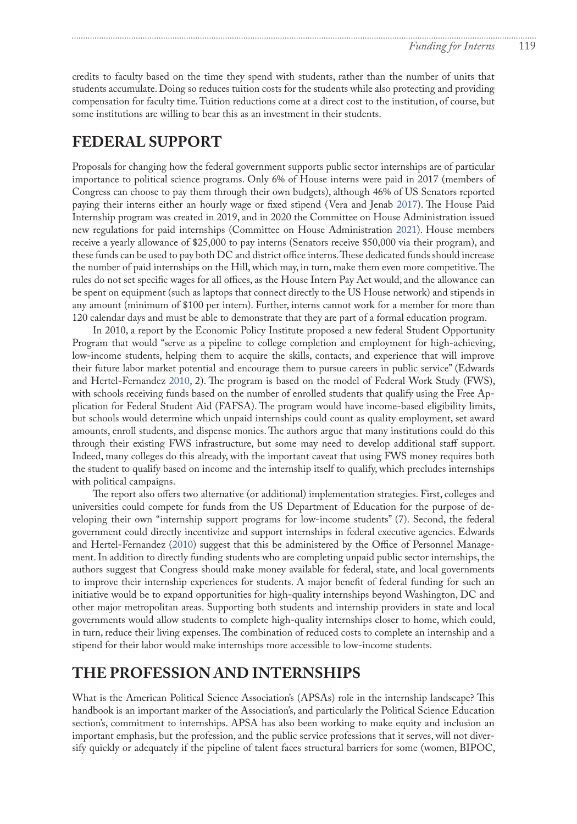credits to faculty based on the time they spend with students, rather than the number of units that students accumulate. Doing so reduces tuition costs for the students while also protecting and providing compensation for faculty time. Tuition reductions come at a direct cost to the institution, of course, but some institutions are willing to bear this as an investment in their students.

### **FEDERAL SUPPORT**

Proposals for changing how the federal government supports public sector internships are of particular importance to political science programs. Only 6% of House interns were paid in 2017 (members of Congress can choose to pay them through their own budgets), although 46% of US Senators reported paying their interns either an hourly wage or fixed stipend (Vera and Jenab [2017\)](#page-9-2). The House Paid Internship program was created in 2019, and in 2020 the Committee on House Administration issued new regulations for paid internships (Committee on House Administration 2021). House members receive a yearly allowance of \$25,000 to pay interns (Senators receive \$50,000 via their program), and these funds can be used to pay both DC and district office interns. These dedicated funds should increase the number of paid internships on the Hill, which may, in turn, make them even more competitive. The rules do not set specific wages for all offices, as the House Intern Pay Act would, and the allowance can be spent on equipment (such as laptops that connect directly to the US House network) and stipends in any amount (minimum of \$100 per intern). Further, interns cannot work for a member for more than 120 calendar days and must be able to demonstrate that they are part of a formal education program.

In 2010, a report by the Economic Policy Institute proposed a new federal Student Opportunity Program that would "serve as a pipeline to college completion and employment for high-achieving, low-income students, helping them to acquire the skills, contacts, and experience that will improve their future labor market potential and encourage them to pursue careers in public service" (Edwards and Hertel-Fernandez [2010,](#page-8-1) 2). The program is based on the model of Federal Work Study (FWS), with schools receiving funds based on the number of enrolled students that qualify using the Free Application for Federal Student Aid (FAFSA). The program would have income-based eligibility limits, but schools would determine which unpaid internships could count as quality employment, set award amounts, enroll students, and dispense monies. The authors argue that many institutions could do this through their existing FWS infrastructure, but some may need to develop additional staff support. Indeed, many colleges do this already, with the important caveat that using FWS money requires both the student to qualify based on income and the internship itself to qualify, which precludes internships with political campaigns.

The report also offers two alternative (or additional) implementation strategies. First, colleges and universities could compete for funds from the US Department of Education for the purpose of developing their own "internship support programs for low-income students" (7). Second, the federal government could directly incentivize and support internships in federal executive agencies. Edwards and Hertel-Fernandez ([2010\)](#page-8-1) suggest that this be administered by the Office of Personnel Management. In addition to directly funding students who are completing unpaid public sector internships, the authors suggest that Congress should make money available for federal, state, and local governments to improve their internship experiences for students. A major benefit of federal funding for such an initiative would be to expand opportunities for high-quality internships beyond Washington, DC and other major metropolitan areas. Supporting both students and internship providers in state and local governments would allow students to complete high-quality internships closer to home, which could, in turn, reduce their living expenses. The combination of reduced costs to complete an internship and a stipend for their labor would make internships more accessible to low-income students.

### **THE PROFESSION AND INTERNSHIPS**

What is the American Political Science Association's (APSAs) role in the internship landscape? This handbook is an important marker of the Association's, and particularly the Political Science Education section's, commitment to internships. APSA has also been working to make equity and inclusion an important emphasis, but the profession, and the public service professions that it serves, will not diversify quickly or adequately if the pipeline of talent faces structural barriers for some (women, BIPOC,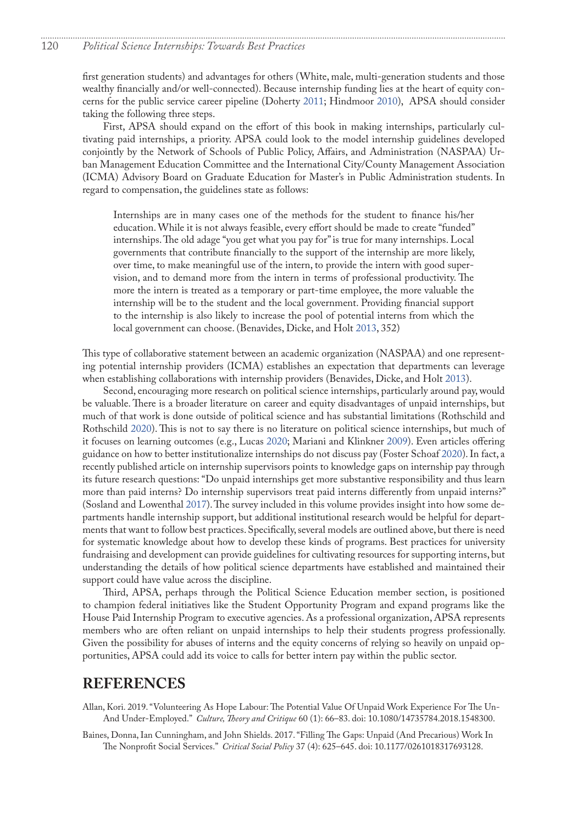first generation students) and advantages for others (White, male, multi-generation students and those wealthy financially and/or well-connected). Because internship funding lies at the heart of equity concerns for the public service career pipeline (Doherty 2011; Hindmoor 2010), APSA should consider taking the following three steps.

First, APSA should expand on the effort of this book in making internships, particularly cultivating paid internships, a priority. APSA could look to the model internship guidelines developed conjointly by the Network of Schools of Public Policy, Affairs, and Administration (NASPAA) Urban Management Education Committee and the International City/County Management Association (ICMA) Advisory Board on Graduate Education for Master's in Public Administration students. In regard to compensation, the guidelines state as follows:

Internships are in many cases one of the methods for the student to finance his/her education. While it is not always feasible, every effort should be made to create "funded" internships. The old adage "you get what you pay for" is true for many internships. Local governments that contribute financially to the support of the internship are more likely, over time, to make meaningful use of the intern, to provide the intern with good supervision, and to demand more from the intern in terms of professional productivity. The more the intern is treated as a temporary or part-time employee, the more valuable the internship will be to the student and the local government. Providing financial support to the internship is also likely to increase the pool of potential interns from which the local government can choose. (Benavides, Dicke, and Holt 2013, 352)

This type of collaborative statement between an academic organization (NASPAA) and one representing potential internship providers (ICMA) establishes an expectation that departments can leverage when establishing collaborations with internship providers (Benavides, Dicke, and Holt 2013).

Second, encouraging more research on political science internships, particularly around pay, would be valuable. There is a broader literature on career and equity disadvantages of unpaid internships, but much of that work is done outside of political science and has substantial limitations (Rothschild and Rothschild 2020). This is not to say there is no literature on political science internships, but much of it focuses on learning outcomes (e.g., Lucas 2020; Mariani and Klinkner 2009). Even articles offering guidance on how to better institutionalize internships do not discuss pay (Foster Schoaf 2020). In fact, a recently published article on internship supervisors points to knowledge gaps on internship pay through its future research questions: "Do unpaid internships get more substantive responsibility and thus learn more than paid interns? Do internship supervisors treat paid interns differently from unpaid interns?" (Sosland and Lowenthal 2017). The survey included in this volume provides insight into how some departments handle internship support, but additional institutional research would be helpful for departments that want to follow best practices. Specifically, several models are outlined above, but there is need for systematic knowledge about how to develop these kinds of programs. Best practices for university fundraising and development can provide guidelines for cultivating resources for supporting interns, but understanding the details of how political science departments have established and maintained their support could have value across the discipline.

Third, APSA, perhaps through the Political Science Education member section, is positioned to champion federal initiatives like the Student Opportunity Program and expand programs like the House Paid Internship Program to executive agencies. As a professional organization, APSA represents members who are often reliant on unpaid internships to help their students progress professionally. Given the possibility for abuses of interns and the equity concerns of relying so heavily on unpaid opportunities, APSA could add its voice to calls for better intern pay within the public sector.

### **REFERENCES**

Allan, Kori. 2019. "Volunteering As Hope Labour: The Potential Value Of Unpaid Work Experience For The Un-And Under-Employed." *Culture, Theory and Critique* 60 (1): 66–83. doi: 10.1080/14735784.2018.1548300.

Baines, Donna, Ian Cunningham, and John Shields. 2017. "Filling The Gaps: Unpaid (And Precarious) Work In The Nonprofit Social Services." *Critical Social Policy* 37 (4): 625–645. doi: 10.1177/0261018317693128.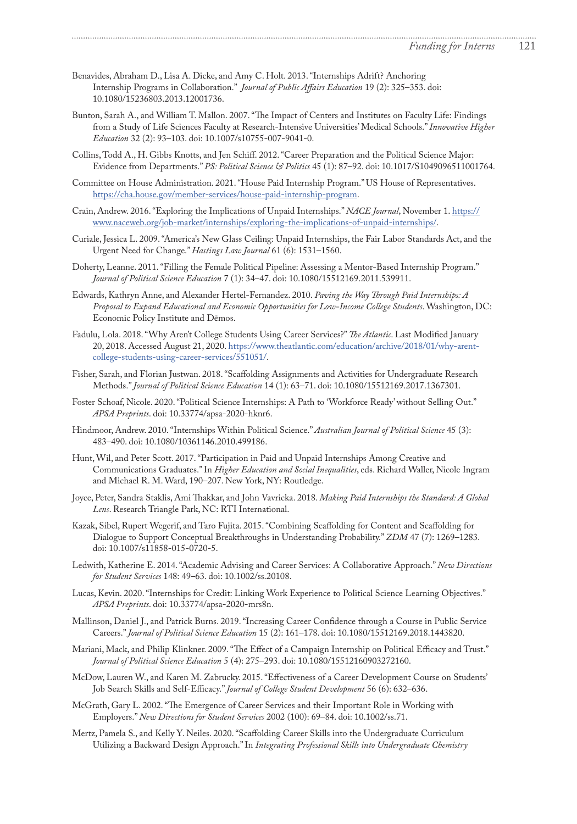Benavides, Abraham D., Lisa A. Dicke, and Amy C. Holt. 2013. "Internships Adrift? Anchoring Internship Programs in Collaboration." *Journal of Public Affairs Education* 19 (2): 325–353. doi: 10.1080/15236803.2013.12001736.

- Bunton, Sarah A., and William T. Mallon. 2007. "The Impact of Centers and Institutes on Faculty Life: Findings from a Study of Life Sciences Faculty at Research-Intensive Universities' Medical Schools." *Innovative Higher Education* 32 (2): 93–103. doi: 10.1007/s10755-007-9041-0.
- Collins, Todd A., H. Gibbs Knotts, and Jen Schiff. 2012. "Career Preparation and the Political Science Major: Evidence from Departments." *PS: Political Science & Politics* 45 (1): 87–92. doi: 10.1017/S1049096511001764.
- Committee on House Administration. 2021. "House Paid Internship Program." US House of Representatives. [https://cha.house.gov/member-services/house-paid-internship-program.](https://cha.house.gov/member-services/house-paid-internship-program)
- Crain, Andrew. 2016. "Exploring the Implications of Unpaid Internships." *NACE Journal*, November 1. [https://](https://www.naceweb.org/job-market/internships/exploring-the-implications-of-unpaid-internships/) [www.naceweb.org/job-market/internships/exploring-the-implications-of-unpaid-internships/](https://www.naceweb.org/job-market/internships/exploring-the-implications-of-unpaid-internships/).
- Curiale, Jessica L. 2009. "America's New Glass Ceiling: Unpaid Internships, the Fair Labor Standards Act, and the Urgent Need for Change." *Hastings Law Journal* 61 (6): 1531–1560.
- Doherty, Leanne. 2011. "Filling the Female Political Pipeline: Assessing a Mentor-Based Internship Program." *Journal of Political Science Education* 7 (1): 34–47. doi: 10.1080/15512169.2011.539911.
- <span id="page-8-1"></span>Edwards, Kathryn Anne, and Alexander Hertel-Fernandez. 2010. *Paving the Way Through Paid Internships: A Proposal to Expand Educational and Economic Opportunities for Low-Income College Students*. Washington, DC: Economic Policy Institute and Dēmos.
- Fadulu, Lola. 2018. "Why Aren't College Students Using Career Services?" *The Atlantic*. Last Modified January 20, 2018. Accessed August 21, 2020. [https://www.theatlantic.com/education/archive/2018/01/why-arent](https://www.theatlantic.com/education/archive/2018/01/why-arent-college-students-using-career-services/551051/)[college-students-using-career-services/551051/.](https://www.theatlantic.com/education/archive/2018/01/why-arent-college-students-using-career-services/551051/)
- Fisher, Sarah, and Florian Justwan. 2018. "Scaffolding Assignments and Activities for Undergraduate Research Methods." *Journal of Political Science Education* 14 (1): 63–71. doi: 10.1080/15512169.2017.1367301.
- Foster Schoaf, Nicole. 2020. "Political Science Internships: A Path to 'Workforce Ready' without Selling Out." *APSA Preprints*. doi: 10.33774/apsa-2020-hknr6.
- Hindmoor, Andrew. 2010. "Internships Within Political Science." *Australian Journal of Political Science* 45 (3): 483–490. doi: 10.1080/10361146.2010.499186.
- Hunt, Wil, and Peter Scott. 2017. "Participation in Paid and Unpaid Internships Among Creative and Communications Graduates." In *Higher Education and Social Inequalities*, eds. Richard Waller, Nicole Ingram and Michael R. M. Ward, 190–207. New York, NY: Routledge.
- <span id="page-8-0"></span>Joyce, Peter, Sandra Staklis, Ami Thakkar, and John Vavricka. 2018. *Making Paid Internships the Standard: A Global Lens*. Research Triangle Park, NC: RTI International.
- Kazak, Sibel, Rupert Wegerif, and Taro Fujita. 2015. "Combining Scaffolding for Content and Scaffolding for Dialogue to Support Conceptual Breakthroughs in Understanding Probability." *ZDM* 47 (7): 1269–1283. doi: 10.1007/s11858-015-0720-5.
- Ledwith, Katherine E. 2014. "Academic Advising and Career Services: A Collaborative Approach." *New Directions for Student Services* 148: 49–63. doi: 10.1002/ss.20108.
- Lucas, Kevin. 2020. "Internships for Credit: Linking Work Experience to Political Science Learning Objectives." *APSA Preprints*. doi: 10.33774/apsa-2020-mrs8n.
- Mallinson, Daniel J., and Patrick Burns. 2019. "Increasing Career Confidence through a Course in Public Service Careers." *Journal of Political Science Education* 15 (2): 161–178. doi: 10.1080/15512169.2018.1443820.
- Mariani, Mack, and Philip Klinkner. 2009. "The Effect of a Campaign Internship on Political Efficacy and Trust." *Journal of Political Science Education* 5 (4): 275–293. doi: 10.1080/15512160903272160.
- McDow, Lauren W., and Karen M. Zabrucky. 2015. "Effectiveness of a Career Development Course on Students' Job Search Skills and Self-Efficacy." *Journal of College Student Development* 56 (6): 632–636.
- McGrath, Gary L. 2002. "The Emergence of Career Services and their Important Role in Working with Employers." *New Directions for Student Services* 2002 (100): 69–84. doi: 10.1002/ss.71.
- Mertz, Pamela S., and Kelly Y. Neiles. 2020. "Scaffolding Career Skills into the Undergraduate Curriculum Utilizing a Backward Design Approach." In *Integrating Professional Skills into Undergraduate Chemistry*